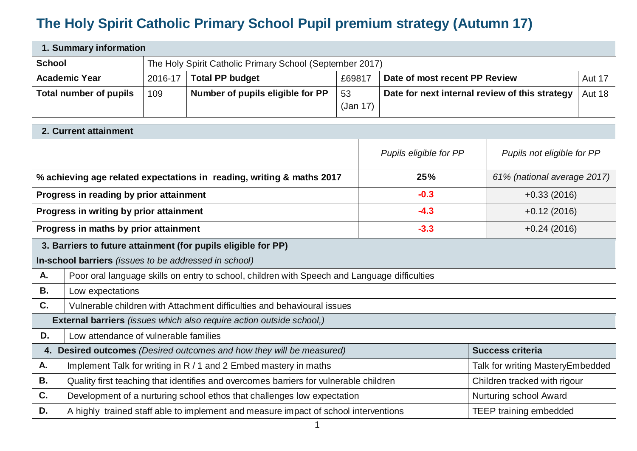## **The Holy Spirit Catholic Primary School Pupil premium strategy (Autumn 17)**

| 1. Summary information        |         |                                                          |          |                                                |               |  |  |
|-------------------------------|---------|----------------------------------------------------------|----------|------------------------------------------------|---------------|--|--|
| <b>School</b>                 |         | The Holy Spirit Catholic Primary School (September 2017) |          |                                                |               |  |  |
| <b>Academic Year</b>          | 2016-17 | <b>Total PP budget</b>                                   | £69817   | Date of most recent PP Review                  | <b>Aut 17</b> |  |  |
| <b>Total number of pupils</b> | 109     | Number of pupils eligible for PP                         | 53       | Date for next internal review of this strategy | <b>Aut 18</b> |  |  |
|                               |         |                                                          | (Jan 17) |                                                |               |  |  |

|                                                                                                 | 2. Current attainment                                                                                                 |                                   |                             |  |  |  |  |
|-------------------------------------------------------------------------------------------------|-----------------------------------------------------------------------------------------------------------------------|-----------------------------------|-----------------------------|--|--|--|--|
|                                                                                                 |                                                                                                                       | Pupils eligible for PP            | Pupils not eligible for PP  |  |  |  |  |
|                                                                                                 | % achieving age related expectations in reading, writing & maths 2017                                                 | 25%                               | 61% (national average 2017) |  |  |  |  |
|                                                                                                 | Progress in reading by prior attainment                                                                               | $-0.3$                            | $+0.33(2016)$               |  |  |  |  |
|                                                                                                 | Progress in writing by prior attainment                                                                               | $-4.3$                            | $+0.12(2016)$               |  |  |  |  |
|                                                                                                 | Progress in maths by prior attainment                                                                                 | $-3.3$                            | $+0.24(2016)$               |  |  |  |  |
|                                                                                                 | 3. Barriers to future attainment (for pupils eligible for PP)                                                         |                                   |                             |  |  |  |  |
|                                                                                                 | In-school barriers (issues to be addressed in school)                                                                 |                                   |                             |  |  |  |  |
| А.                                                                                              | Poor oral language skills on entry to school, children with Speech and Language difficulties                          |                                   |                             |  |  |  |  |
| В.                                                                                              | Low expectations                                                                                                      |                                   |                             |  |  |  |  |
| C.                                                                                              | Vulnerable children with Attachment difficulties and behavioural issues                                               |                                   |                             |  |  |  |  |
|                                                                                                 | <b>External barriers</b> (issues which also require action outside school,)                                           |                                   |                             |  |  |  |  |
| D.                                                                                              | Low attendance of vulnerable families                                                                                 |                                   |                             |  |  |  |  |
| <b>Success criteria</b><br>4. Desired outcomes (Desired outcomes and how they will be measured) |                                                                                                                       |                                   |                             |  |  |  |  |
| А.                                                                                              | Implement Talk for writing in R / 1 and 2 Embed mastery in maths                                                      | Talk for writing Mastery Embedded |                             |  |  |  |  |
| В.                                                                                              | Quality first teaching that identifies and overcomes barriers for vulnerable children<br>Children tracked with rigour |                                   |                             |  |  |  |  |
| C.                                                                                              | Development of a nurturing school ethos that challenges low expectation<br>Nurturing school Award                     |                                   |                             |  |  |  |  |
| D.                                                                                              | A highly trained staff able to implement and measure impact of school interventions                                   | <b>TEEP training embedded</b>     |                             |  |  |  |  |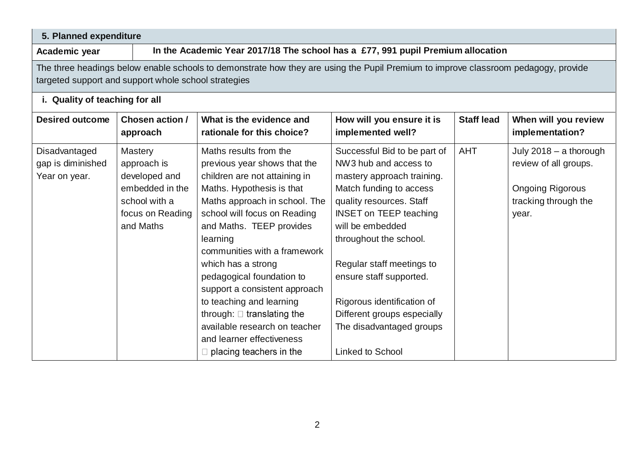| 5. Planned expenditure                                                                                                                                                                     |                                                                                                                     |                                                                                                                                                                                                                                                                                                                                                                                                                                                                                                                  |                                                                                                                                                                                                                                                                                                                                                                                                       |                   |                                                                                                             |  |  |
|--------------------------------------------------------------------------------------------------------------------------------------------------------------------------------------------|---------------------------------------------------------------------------------------------------------------------|------------------------------------------------------------------------------------------------------------------------------------------------------------------------------------------------------------------------------------------------------------------------------------------------------------------------------------------------------------------------------------------------------------------------------------------------------------------------------------------------------------------|-------------------------------------------------------------------------------------------------------------------------------------------------------------------------------------------------------------------------------------------------------------------------------------------------------------------------------------------------------------------------------------------------------|-------------------|-------------------------------------------------------------------------------------------------------------|--|--|
| Academic year                                                                                                                                                                              | In the Academic Year 2017/18 The school has a £77, 991 pupil Premium allocation                                     |                                                                                                                                                                                                                                                                                                                                                                                                                                                                                                                  |                                                                                                                                                                                                                                                                                                                                                                                                       |                   |                                                                                                             |  |  |
| The three headings below enable schools to demonstrate how they are using the Pupil Premium to improve classroom pedagogy, provide<br>targeted support and support whole school strategies |                                                                                                                     |                                                                                                                                                                                                                                                                                                                                                                                                                                                                                                                  |                                                                                                                                                                                                                                                                                                                                                                                                       |                   |                                                                                                             |  |  |
| i. Quality of teaching for all                                                                                                                                                             |                                                                                                                     |                                                                                                                                                                                                                                                                                                                                                                                                                                                                                                                  |                                                                                                                                                                                                                                                                                                                                                                                                       |                   |                                                                                                             |  |  |
| <b>Desired outcome</b>                                                                                                                                                                     | Chosen action /<br>approach                                                                                         | What is the evidence and<br>rationale for this choice?                                                                                                                                                                                                                                                                                                                                                                                                                                                           | How will you ensure it is<br>implemented well?                                                                                                                                                                                                                                                                                                                                                        | <b>Staff lead</b> | When will you review<br>implementation?                                                                     |  |  |
| Disadvantaged<br>gap is diminished<br>Year on year.                                                                                                                                        | <b>Mastery</b><br>approach is<br>developed and<br>embedded in the<br>school with a<br>focus on Reading<br>and Maths | Maths results from the<br>previous year shows that the<br>children are not attaining in<br>Maths. Hypothesis is that<br>Maths approach in school. The<br>school will focus on Reading<br>and Maths. TEEP provides<br>learning<br>communities with a framework<br>which has a strong<br>pedagogical foundation to<br>support a consistent approach<br>to teaching and learning<br>through: $\Box$ translating the<br>available research on teacher<br>and learner effectiveness<br>$\Box$ placing teachers in the | Successful Bid to be part of<br>NW3 hub and access to<br>mastery approach training.<br>Match funding to access<br>quality resources. Staff<br><b>INSET on TEEP teaching</b><br>will be embedded<br>throughout the school.<br>Regular staff meetings to<br>ensure staff supported.<br>Rigorous identification of<br>Different groups especially<br>The disadvantaged groups<br><b>Linked to School</b> | <b>AHT</b>        | July 2018 - a thorough<br>review of all groups.<br><b>Ongoing Rigorous</b><br>tracking through the<br>year. |  |  |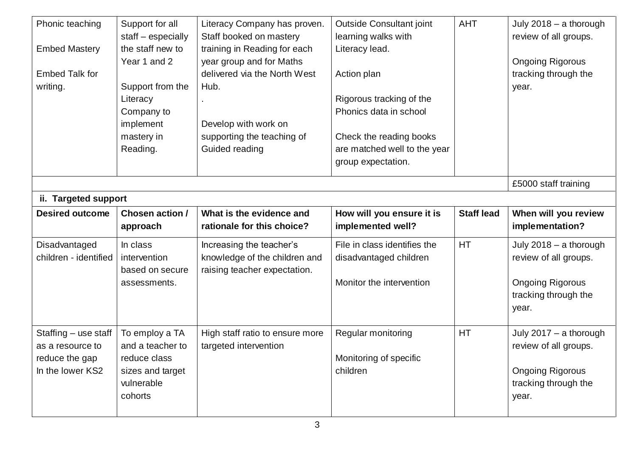| Phonic teaching<br><b>Embed Mastery</b> | Support for all<br>staff - especially<br>the staff new to<br>Year 1 and 2         | Literacy Company has proven.<br>Staff booked on mastery<br>training in Reading for each<br>year group and for Maths | <b>Outside Consultant joint</b><br>learning walks with<br>Literacy lead.                                                     | <b>AHT</b>        | July 2018 - a thorough<br>review of all groups.<br><b>Ongoing Rigorous</b>                                  |
|-----------------------------------------|-----------------------------------------------------------------------------------|---------------------------------------------------------------------------------------------------------------------|------------------------------------------------------------------------------------------------------------------------------|-------------------|-------------------------------------------------------------------------------------------------------------|
| <b>Embed Talk for</b><br>writing.       | Support from the<br>Literacy<br>Company to<br>implement<br>mastery in<br>Reading. | delivered via the North West<br>Hub.<br>Develop with work on<br>supporting the teaching of<br>Guided reading        | Action plan<br>Rigorous tracking of the<br>Phonics data in school<br>Check the reading books<br>are matched well to the year |                   | tracking through the<br>year.                                                                               |
|                                         |                                                                                   |                                                                                                                     | group expectation.                                                                                                           |                   |                                                                                                             |
|                                         |                                                                                   |                                                                                                                     |                                                                                                                              |                   | £5000 staff training                                                                                        |
| ii. Targeted support                    |                                                                                   |                                                                                                                     |                                                                                                                              |                   |                                                                                                             |
| <b>Desired outcome</b>                  | Chosen action /                                                                   | What is the evidence and                                                                                            | How will you ensure it is                                                                                                    | <b>Staff lead</b> | When will you review                                                                                        |
|                                         | approach                                                                          | rationale for this choice?                                                                                          | implemented well?                                                                                                            |                   | implementation?                                                                                             |
| Disadvantaged<br>children - identified  | In class<br>intervention<br>based on secure<br>assessments.                       | Increasing the teacher's<br>knowledge of the children and<br>raising teacher expectation.                           | File in class identifies the<br>disadvantaged children<br>Monitor the intervention                                           | <b>HT</b>         | July 2018 - a thorough<br>review of all groups.<br><b>Ongoing Rigorous</b><br>tracking through the<br>year. |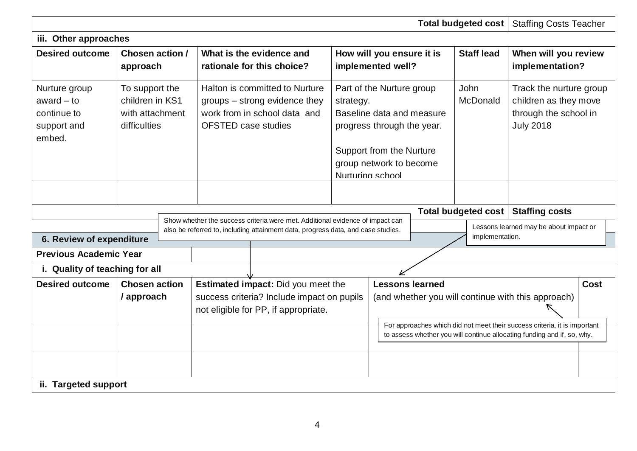|                                                                       |                                                                      |  |                                                                                                                               |                                                                                                                                                                   |                                                                                                                                                                              |                                                |                  | <b>Total budgeted cost</b>                                                                                                                                                                                 | <b>Staffing Costs Teacher</b>                                   |  |
|-----------------------------------------------------------------------|----------------------------------------------------------------------|--|-------------------------------------------------------------------------------------------------------------------------------|-------------------------------------------------------------------------------------------------------------------------------------------------------------------|------------------------------------------------------------------------------------------------------------------------------------------------------------------------------|------------------------------------------------|------------------|------------------------------------------------------------------------------------------------------------------------------------------------------------------------------------------------------------|-----------------------------------------------------------------|--|
| iii. Other approaches                                                 |                                                                      |  |                                                                                                                               |                                                                                                                                                                   |                                                                                                                                                                              |                                                |                  |                                                                                                                                                                                                            |                                                                 |  |
| <b>Desired outcome</b>                                                | Chosen action /<br>approach                                          |  |                                                                                                                               | What is the evidence and<br>rationale for this choice?                                                                                                            |                                                                                                                                                                              | How will you ensure it is<br>implemented well? |                  | <b>Staff lead</b>                                                                                                                                                                                          | When will you review<br>implementation?                         |  |
| Nurture group<br>award $-$ to<br>continue to<br>support and<br>embed. | To support the<br>children in KS1<br>with attachment<br>difficulties |  | Halton is committed to Nurture<br>groups – strong evidence they<br>work from in school data and<br><b>OFSTED case studies</b> |                                                                                                                                                                   | Part of the Nurture group<br>strategy.<br>Baseline data and measure<br>progress through the year.<br>Support from the Nurture<br>group network to become<br>Nurturing school |                                                | John<br>McDonald | Track the nurture group<br>children as they move<br>through the school in<br><b>July 2018</b>                                                                                                              |                                                                 |  |
| 6. Review of expenditure                                              |                                                                      |  |                                                                                                                               | Show whether the success criteria were met. Additional evidence of impact can<br>also be referred to, including attainment data, progress data, and case studies. |                                                                                                                                                                              |                                                |                  | <b>Total budgeted cost</b><br>implementation.                                                                                                                                                              | <b>Staffing costs</b><br>Lessons learned may be about impact or |  |
| <b>Previous Academic Year</b>                                         |                                                                      |  |                                                                                                                               |                                                                                                                                                                   |                                                                                                                                                                              |                                                |                  |                                                                                                                                                                                                            |                                                                 |  |
| i. Quality of teaching for all                                        |                                                                      |  |                                                                                                                               |                                                                                                                                                                   |                                                                                                                                                                              |                                                |                  |                                                                                                                                                                                                            |                                                                 |  |
| <b>Desired outcome</b><br><b>Chosen action</b><br>/ approach          |                                                                      |  | Estimated impact: Did you meet the<br>success criteria? Include impact on pupils<br>not eligible for PP, if appropriate.      |                                                                                                                                                                   | <b>Lessons learned</b>                                                                                                                                                       |                                                |                  | (and whether you will continue with this approach)<br>For approaches which did not meet their success criteria, it is important<br>to assess whether you will continue allocating funding and if, so, why. | <b>Cost</b>                                                     |  |
| ii. Targeted support                                                  |                                                                      |  |                                                                                                                               |                                                                                                                                                                   |                                                                                                                                                                              |                                                |                  |                                                                                                                                                                                                            |                                                                 |  |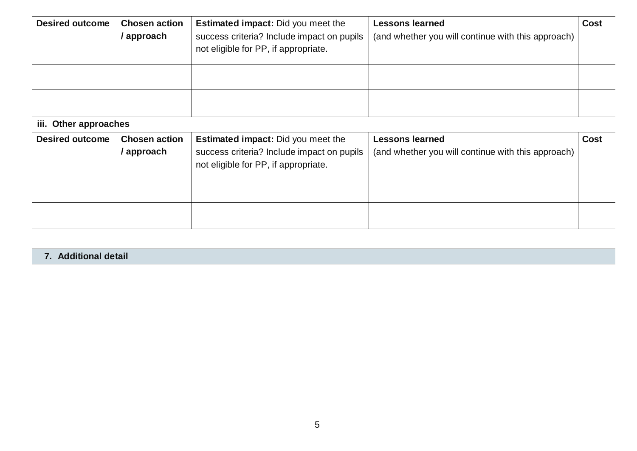| <b>Desired outcome</b> | <b>Chosen action</b><br>/ approach | <b>Estimated impact:</b> Did you meet the<br>success criteria? Include impact on pupils | <b>Lessons learned</b><br>(and whether you will continue with this approach) | <b>Cost</b> |
|------------------------|------------------------------------|-----------------------------------------------------------------------------------------|------------------------------------------------------------------------------|-------------|
|                        |                                    | not eligible for PP, if appropriate.                                                    |                                                                              |             |
|                        |                                    |                                                                                         |                                                                              |             |
|                        |                                    |                                                                                         |                                                                              |             |
| iii. Other approaches  |                                    |                                                                                         |                                                                              |             |
| <b>Desired outcome</b> | <b>Chosen action</b>               | <b>Estimated impact:</b> Did you meet the                                               | <b>Lessons learned</b>                                                       | <b>Cost</b> |
|                        | / approach                         | success criteria? Include impact on pupils                                              | (and whether you will continue with this approach)                           |             |
|                        |                                    | not eligible for PP, if appropriate.                                                    |                                                                              |             |
|                        |                                    |                                                                                         |                                                                              |             |
|                        |                                    |                                                                                         |                                                                              |             |

## **7. Additional detail**